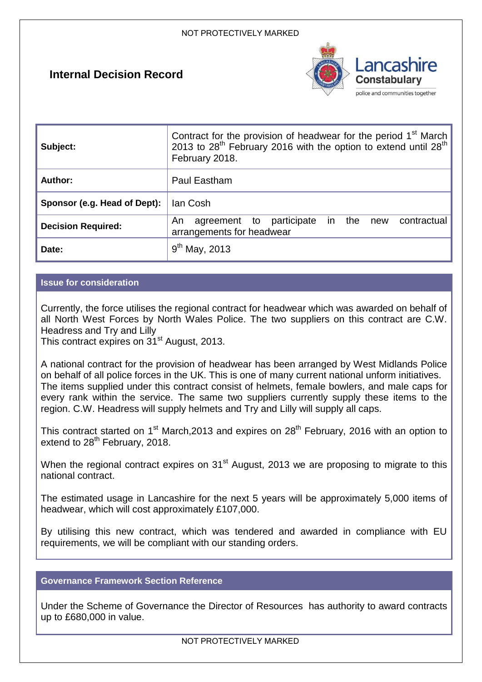# **Internal Decision Record**



| Subject:                     | Contract for the provision of headwear for the period 1 <sup>st</sup> March<br>2013 to 28 <sup>th</sup> February 2016 with the option to extend until 28 <sup>th</sup><br>February 2018. |  |
|------------------------------|------------------------------------------------------------------------------------------------------------------------------------------------------------------------------------------|--|
| <b>Author:</b>               | Paul Eastham                                                                                                                                                                             |  |
| Sponsor (e.g. Head of Dept): | lan Cosh                                                                                                                                                                                 |  |
| <b>Decision Required:</b>    | agreement to participate in the<br>contractual<br>An<br>new<br>arrangements for headwear                                                                                                 |  |
| Date:                        | $9^{th}$ May, 2013                                                                                                                                                                       |  |

# **Issue for consideration**

Currently, the force utilises the regional contract for headwear which was awarded on behalf of all North West Forces by North Wales Police. The two suppliers on this contract are C.W. Headress and Try and Lilly

This contract expires on 31<sup>st</sup> August, 2013.

A national contract for the provision of headwear has been arranged by West Midlands Police on behalf of all police forces in the UK. This is one of many current national unform initiatives. The items supplied under this contract consist of helmets, female bowlers, and male caps for every rank within the service. The same two suppliers currently supply these items to the region. C.W. Headress will supply helmets and Try and Lilly will supply all caps.

This contract started on 1<sup>st</sup> March,2013 and expires on 28<sup>th</sup> February, 2016 with an option to extend to 28<sup>th</sup> February, 2018.

When the regional contract expires on 31<sup>st</sup> August, 2013 we are proposing to migrate to this national contract.

The estimated usage in Lancashire for the next 5 years will be approximately 5,000 items of headwear, which will cost approximately £107,000.

By utilising this new contract, which was tendered and awarded in compliance with EU requirements, we will be compliant with our standing orders.

# **Governance Framework Section Reference**

Under the Scheme of Governance the Director of Resources has authority to award contracts up to £680,000 in value.

NOT PROTECTIVELY MARKED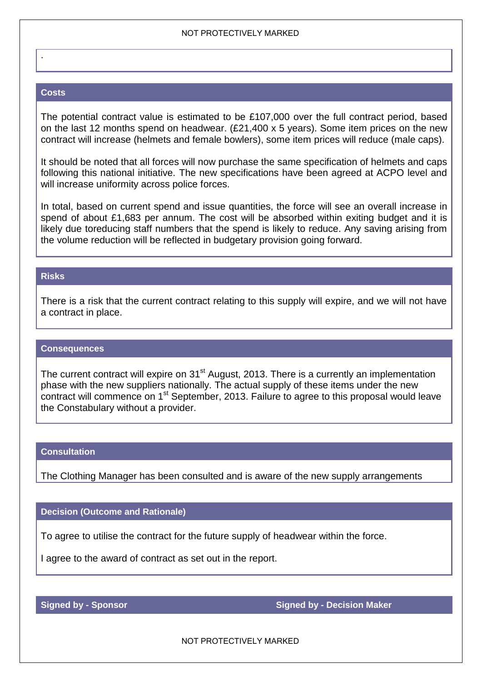#### NOT PROTECTIVELY MARKED

### **Costs**

.

The potential contract value is estimated to be £107,000 over the full contract period, based on the last 12 months spend on headwear. (£21,400 x 5 years). Some item prices on the new contract will increase (helmets and female bowlers), some item prices will reduce (male caps).

It should be noted that all forces will now purchase the same specification of helmets and caps following this national initiative. The new specifications have been agreed at ACPO level and will increase uniformity across police forces.

In total, based on current spend and issue quantities, the force will see an overall increase in spend of about £1,683 per annum. The cost will be absorbed within exiting budget and it is likely due toreducing staff numbers that the spend is likely to reduce. Any saving arising from the volume reduction will be reflected in budgetary provision going forward.

## **Risks**

There is a risk that the current contract relating to this supply will expire, and we will not have a contract in place.

#### **Consequences**

The current contract will expire on 31<sup>st</sup> August, 2013. There is a currently an implementation phase with the new suppliers nationally. The actual supply of these items under the new contract will commence on 1<sup>st</sup> September, 2013. Failure to agree to this proposal would leave the Constabulary without a provider.

#### **Consultation**

The Clothing Manager has been consulted and is aware of the new supply arrangements

### **Decision (Outcome and Rationale)**

To agree to utilise the contract for the future supply of headwear within the force.

I agree to the award of contract as set out in the report.

**Signed by - Sponsor Signed by - Sponsor Signed by - Decision Maker <b>Signed by - Decision Maker** 

NOT PROTECTIVELY MARKED